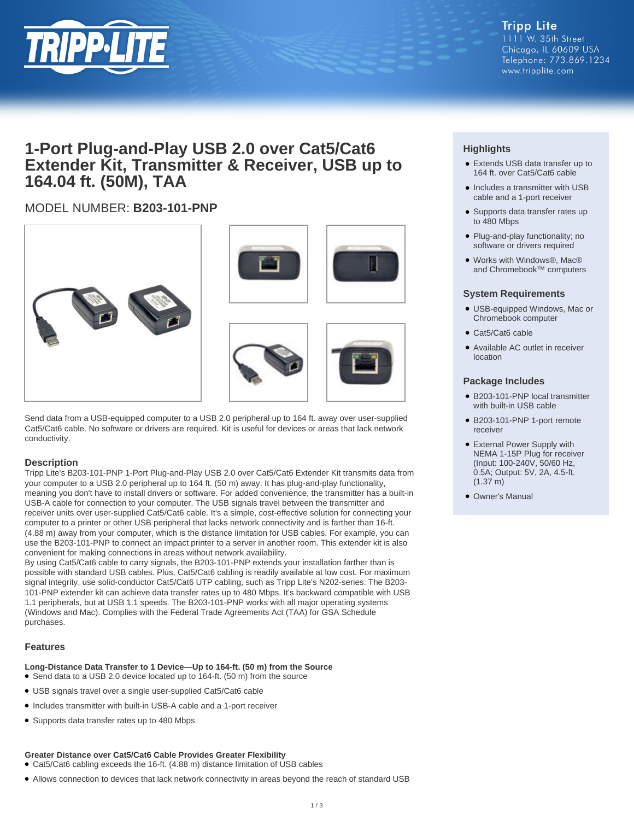

## **1-Port Plug-and-Play USB 2.0 over Cat5/Cat6 Extender Kit, Transmitter & Receiver, USB up to 164.04 ft. (50M), TAA**

## MODEL NUMBER: **B203-101-PNP**



Send data from a USB-equipped computer to a USB 2.0 peripheral up to 164 ft. away over user-supplied Cat5/Cat6 cable. No software or drivers are required. Kit is useful for devices or areas that lack network conductivity.

#### **Description**

Tripp Lite's B203-101-PNP 1-Port Plug-and-Play USB 2.0 over Cat5/Cat6 Extender Kit transmits data from your computer to a USB 2.0 peripheral up to 164 ft. (50 m) away. It has plug-and-play functionality, meaning you don't have to install drivers or software. For added convenience, the transmitter has a built-in USB-A cable for connection to your computer. The USB signals travel between the transmitter and receiver units over user-supplied Cat5/Cat6 cable. It's a simple, cost-effective solution for connecting your computer to a printer or other USB peripheral that lacks network connectivity and is farther than 16-ft. (4.88 m) away from your computer, which is the distance limitation for USB cables. For example, you can use the B203-101-PNP to connect an impact printer to a server in another room. This extender kit is also convenient for making connections in areas without network availability.

By using Cat5/Cat6 cable to carry signals, the B203-101-PNP extends your installation farther than is possible with standard USB cables. Plus, Cat5/Cat6 cabling is readily available at low cost. For maximum signal integrity, use solid-conductor Cat5/Cat6 UTP cabling, such as Tripp Lite's N202-series. The B203- 101-PNP extender kit can achieve data transfer rates up to 480 Mbps. It's backward compatible with USB 1.1 peripherals, but at USB 1.1 speeds. The B203-101-PNP works with all major operating systems (Windows and Mac). Complies with the Federal Trade Agreements Act (TAA) for GSA Schedule purchases.

#### **Features**

- **Long-Distance Data Transfer to 1 Device—Up to 164-ft. (50 m) from the Source**
- Send data to a USB 2.0 device located up to 164-ft. (50 m) from the source
- USB signals travel over a single user-supplied Cat5/Cat6 cable
- Includes transmitter with built-in USB-A cable and a 1-port receiver
- Supports data transfer rates up to 480 Mbps

#### **Greater Distance over Cat5/Cat6 Cable Provides Greater Flexibility**

● Cat5/Cat6 cabling exceeds the 16-ft. (4.88 m) distance limitation of USB cables

● Allows connection to devices that lack network connectivity in areas beyond the reach of standard USB

### **Highlights**

- Extends USB data transfer up to 164 ft. over Cat5/Cat6 cable
- Includes a transmitter with USB cable and a 1-port receiver
- Supports data transfer rates up to 480 Mbps
- Plug-and-play functionality; no software or drivers required
- Works with Windows®, Mac® and Chromebook™ computers

#### **System Requirements**

- USB-equipped Windows, Mac or Chromebook computer
- Cat5/Cat6 cable
- Available AC outlet in receiver location

#### **Package Includes**

- B203-101-PNP local transmitter with built-in USB cable
- B203-101-PNP 1-port remote receiver
- External Power Supply with NEMA 1-15P Plug for receiver (Input: 100-240V, 50/60 Hz, 0.5A; Output: 5V, 2A, 4.5-ft. (1.37 m)
- Owner's Manual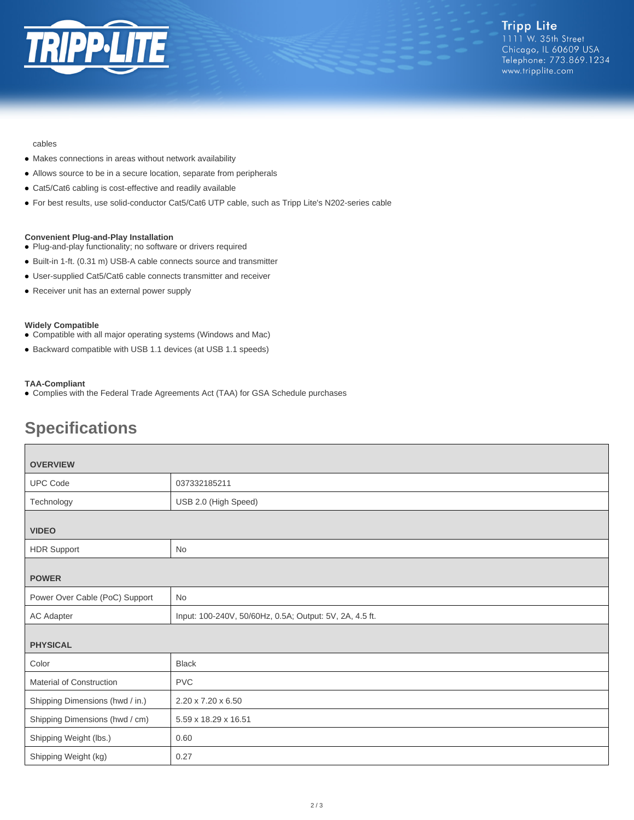

#### cables

- Makes connections in areas without network availability
- Allows source to be in a secure location, separate from peripherals
- Cat5/Cat6 cabling is cost-effective and readily available
- For best results, use solid-conductor Cat5/Cat6 UTP cable, such as Tripp Lite's N202-series cable

#### **Convenient Plug-and-Play Installation**

- Plug-and-play functionality; no software or drivers required
- Built-in 1-ft. (0.31 m) USB-A cable connects source and transmitter
- User-supplied Cat5/Cat6 cable connects transmitter and receiver
- Receiver unit has an external power supply

#### **Widely Compatible**

- Compatible with all major operating systems (Windows and Mac)
- Backward compatible with USB 1.1 devices (at USB 1.1 speeds)

#### **TAA-Compliant**

● Complies with the Federal Trade Agreements Act (TAA) for GSA Schedule purchases

# **Specifications**

| <b>OVERVIEW</b>                 |                                                         |  |
|---------------------------------|---------------------------------------------------------|--|
| <b>UPC Code</b>                 | 037332185211                                            |  |
| Technology                      | USB 2.0 (High Speed)                                    |  |
| <b>VIDEO</b>                    |                                                         |  |
| <b>HDR Support</b>              | No                                                      |  |
| <b>POWER</b>                    |                                                         |  |
| Power Over Cable (PoC) Support  | <b>No</b>                                               |  |
| AC Adapter                      | Input: 100-240V, 50/60Hz, 0.5A; Output: 5V, 2A, 4.5 ft. |  |
| <b>PHYSICAL</b>                 |                                                         |  |
| Color                           | <b>Black</b>                                            |  |
| Material of Construction        | <b>PVC</b>                                              |  |
| Shipping Dimensions (hwd / in.) | 2.20 x 7.20 x 6.50                                      |  |
| Shipping Dimensions (hwd / cm)  | 5.59 x 18.29 x 16.51                                    |  |
| Shipping Weight (lbs.)          | 0.60                                                    |  |
| Shipping Weight (kg)            | 0.27                                                    |  |